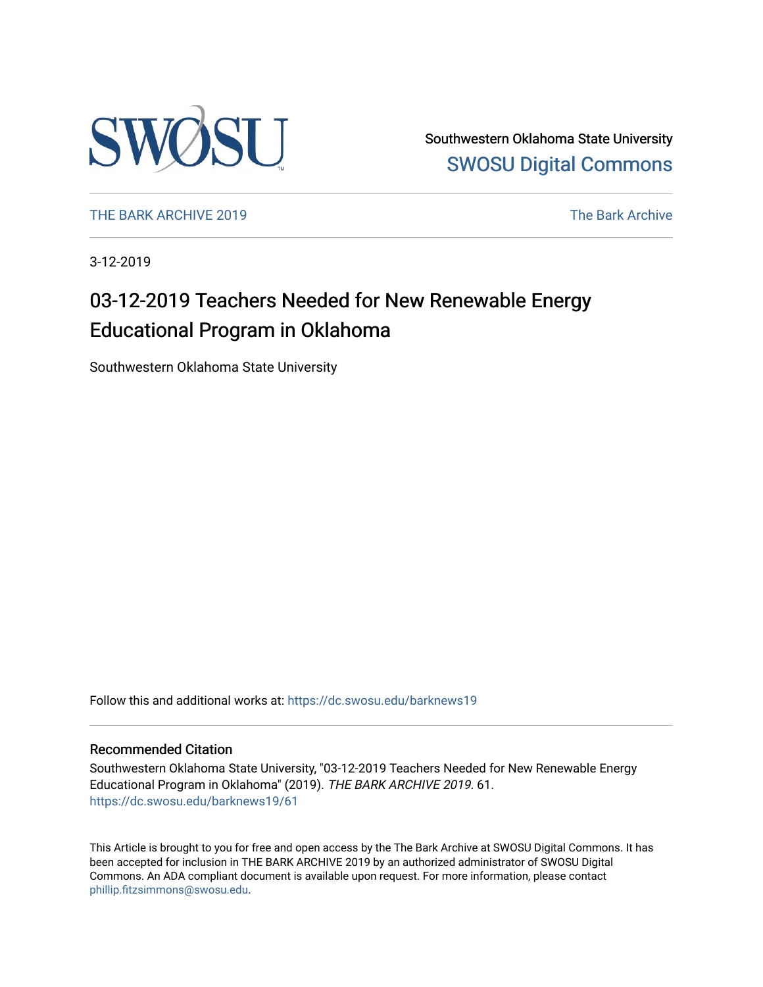

Southwestern Oklahoma State University [SWOSU Digital Commons](https://dc.swosu.edu/) 

[THE BARK ARCHIVE 2019](https://dc.swosu.edu/barknews19) The Bark Archive

3-12-2019

### 03-12-2019 Teachers Needed for New Renewable Energy Educational Program in Oklahoma

Southwestern Oklahoma State University

Follow this and additional works at: [https://dc.swosu.edu/barknews19](https://dc.swosu.edu/barknews19?utm_source=dc.swosu.edu%2Fbarknews19%2F61&utm_medium=PDF&utm_campaign=PDFCoverPages)

#### Recommended Citation

Southwestern Oklahoma State University, "03-12-2019 Teachers Needed for New Renewable Energy Educational Program in Oklahoma" (2019). THE BARK ARCHIVE 2019. 61. [https://dc.swosu.edu/barknews19/61](https://dc.swosu.edu/barknews19/61?utm_source=dc.swosu.edu%2Fbarknews19%2F61&utm_medium=PDF&utm_campaign=PDFCoverPages) 

This Article is brought to you for free and open access by the The Bark Archive at SWOSU Digital Commons. It has been accepted for inclusion in THE BARK ARCHIVE 2019 by an authorized administrator of SWOSU Digital Commons. An ADA compliant document is available upon request. For more information, please contact [phillip.fitzsimmons@swosu.edu](mailto:phillip.fitzsimmons@swosu.edu).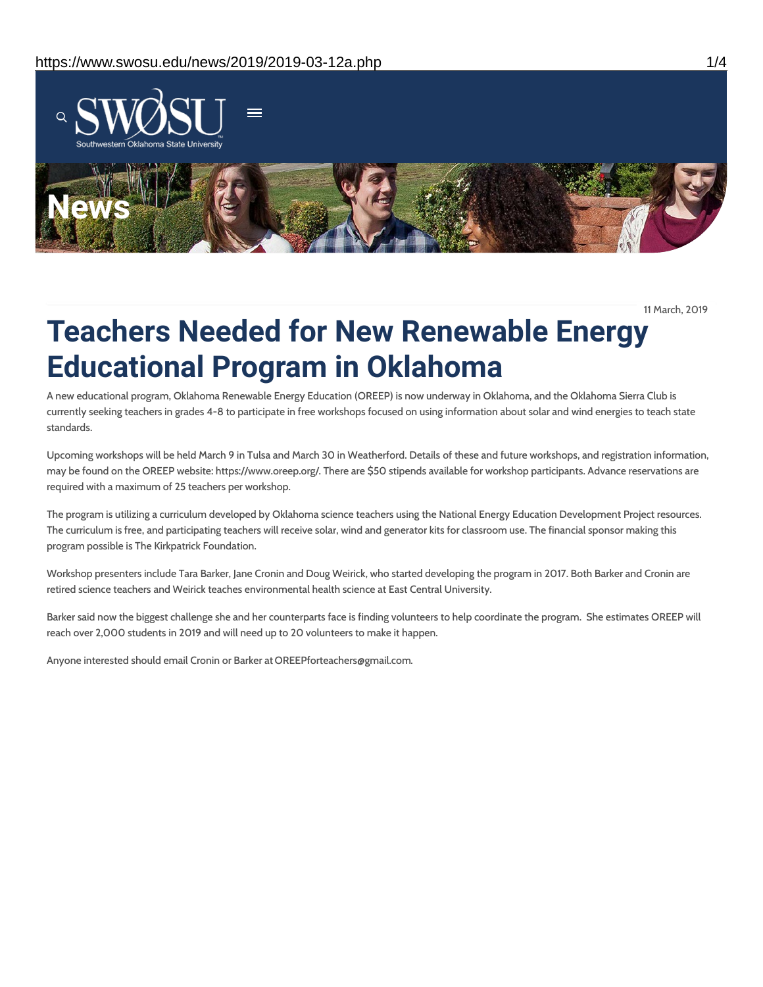

11 March, 2019

# **Teachers Needed for New Renewable Energy Educational Program in Oklahoma**

A new educational program, Oklahoma Renewable Energy Education (OREEP) is now underway in Oklahoma, and the Oklahoma Sierra Club is currently seeking teachers in grades 4-8 to participate in free workshops focused on using information about solar and wind energies to teach state standards.

Upcoming workshops will be held March 9 in Tulsa and March 30 in Weatherford. Details of these and future workshops, and registration information, may be found on the OREEP website: https://www.oreep.org/. There are \$50 stipends available for workshop participants. Advance reservations are required with a maximum of 25 teachers per workshop.

The program is utilizing a curriculum developed by Oklahoma science teachers using the National Energy Education Development Project resources. The curriculum is free, and participating teachers will receive solar, wind and generator kits for classroom use. The financial sponsor making this program possible is The Kirkpatrick Foundation.

Workshop presenters include Tara Barker, Jane Cronin and Doug Weirick, who started developing the program in 2017. Both Barker and Cronin are retired science teachers and Weirick teaches environmental health science at East Central University.

Barker said now the biggest challenge she and her counterparts face is finding volunteers to help coordinate the program. She estimates OREEP will reach over 2,000 students in 2019 and will need up to 20 volunteers to make it happen.

Anyone interested should email Cronin or Barker at OREEPforteachers@gmail.com.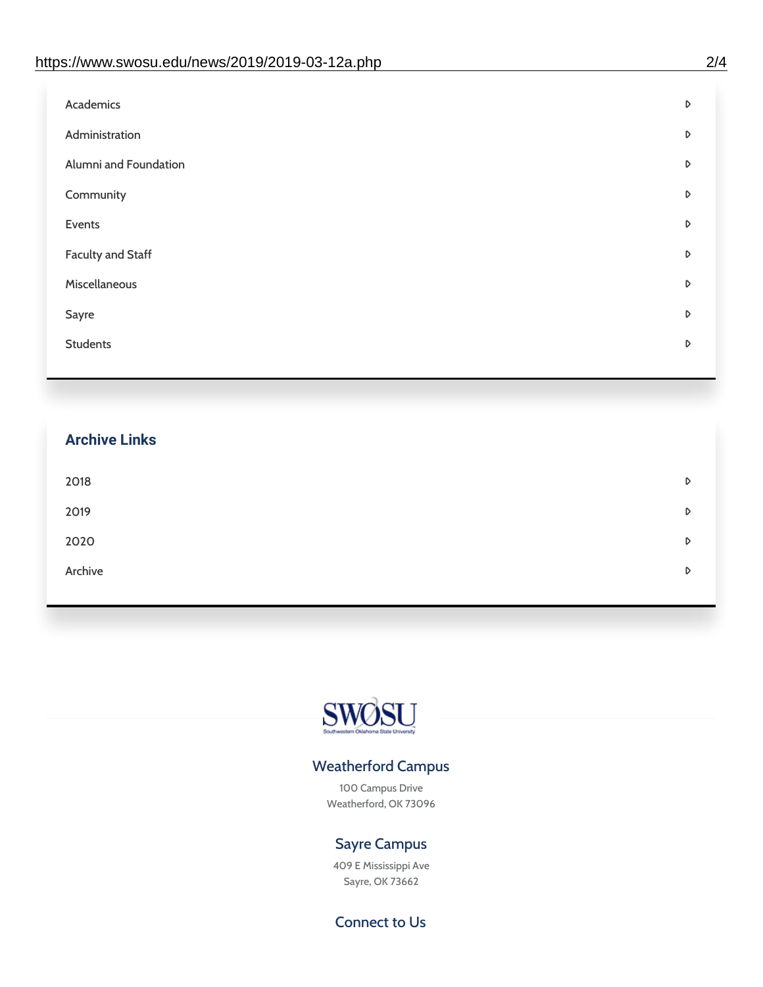| Administration<br>D<br>Alumni and Foundation<br>D<br>Community<br>D<br>Events<br>D | Academics | D |
|------------------------------------------------------------------------------------|-----------|---|
|                                                                                    |           |   |
|                                                                                    |           |   |
|                                                                                    |           |   |
|                                                                                    |           |   |
| <b>Faculty and Staff</b><br>D                                                      |           |   |
| Miscellaneous<br>D                                                                 |           |   |
| Sayre<br>D                                                                         |           |   |
| <b>Students</b><br>D                                                               |           |   |

## **Archive Links**  $2018$  $2019$ [2020](https://www.swosu.edu/news/2020/index.php)  $\bullet$ [Archive](https://dc.swosu.edu/bark/) **Archive Archive Archive Archive Archive** Archive Archive Archive Archive Archive Archive Archive Archive



### Weatherford Campus

100 Campus Drive Weatherford, OK 73096

### Sayre Campus

409 E Mississippi Ave Sayre, OK 73662

Connect to Us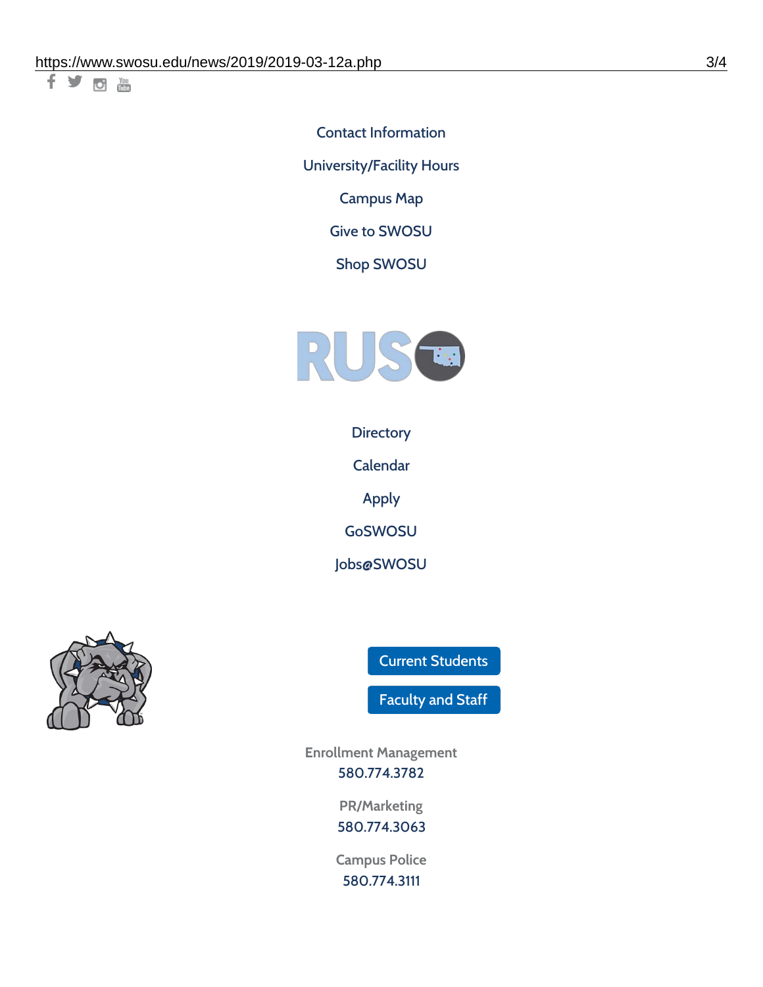千岁回调

Contact [Information](https://www.swosu.edu/about/contact.php) [University/Facility](https://www.swosu.edu/about/operating-hours.php) Hours [Campus](https://map.concept3d.com/?id=768#!ct/10964,10214,10213,10212,10205,10204,10203,10202,10136,10129,10128,0,31226,10130,10201,10641,0) Map

Give to [SWOSU](https://standingfirmly.com/donate)

Shop [SWOSU](https://shopswosu.merchorders.com/)



**[Directory](https://www.swosu.edu/directory/index.php)** 

[Calendar](https://eventpublisher.dudesolutions.com/swosu/)

[Apply](https://www.swosu.edu/admissions/apply-to-swosu.php)

[GoSWOSU](https://qlsso.quicklaunchsso.com/home/1267)

[Jobs@SWOSU](https://swosu.csod.com/ux/ats/careersite/1/home?c=swosu)



Current [Students](https://bulldog.swosu.edu/index.php)

[Faculty](https://bulldog.swosu.edu/faculty-staff/index.php) and Staff

**Enrollment Management** [580.774.3782](tel:5807743782)

> **PR/Marketing** [580.774.3063](tel:5807743063)

**Campus Police** [580.774.3111](tel:5807743111)